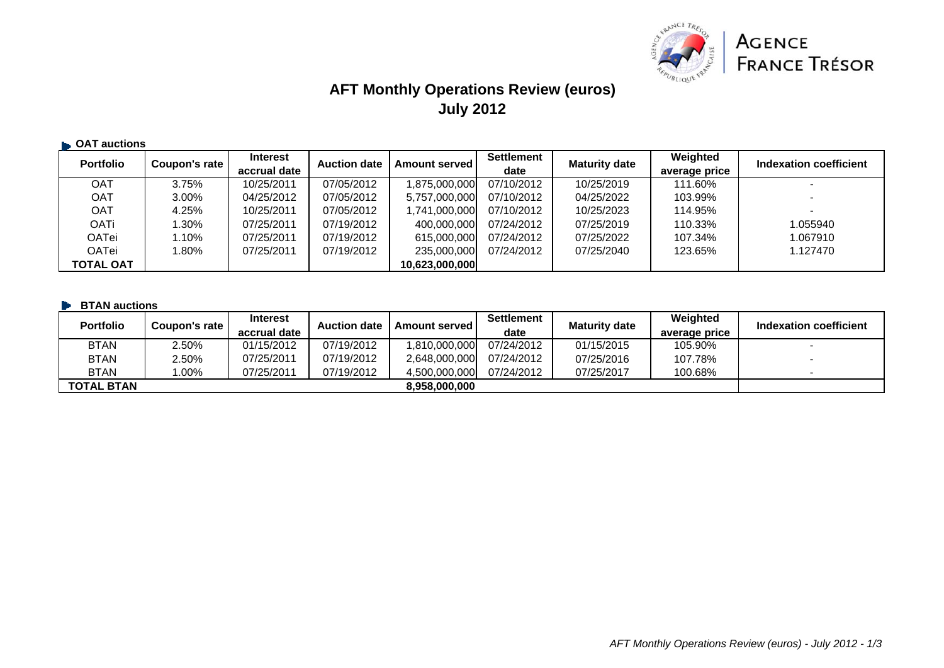

# **AFT Monthly Operations Review (euros) July 2012**

| <b>CAT auctions</b> |               |                                 |                     |                      |                           |                      |                           |                        |
|---------------------|---------------|---------------------------------|---------------------|----------------------|---------------------------|----------------------|---------------------------|------------------------|
| <b>Portfolio</b>    | Coupon's rate | <b>Interest</b><br>accrual date | <b>Auction date</b> | <b>Amount served</b> | <b>Settlement</b><br>date | <b>Maturity date</b> | Weighted<br>average price | Indexation coefficient |
| OAT                 | 3.75%         | 10/25/2011                      | 07/05/2012          | 1,875,000,000        | 07/10/2012                | 10/25/2019           | 111.60%                   |                        |
| <b>OAT</b>          | 3.00%         | 04/25/2012                      | 07/05/2012          | 5,757,000,000        | 07/10/2012                | 04/25/2022           | 103.99%                   |                        |
| <b>OAT</b>          | 4.25%         | 10/25/2011                      | 07/05/2012          | 1,741,000,000        | 07/10/2012                | 10/25/2023           | 114.95%                   | $\blacksquare$         |
| <b>OATi</b>         | $.30\%$       | 07/25/2011                      | 07/19/2012          | 400,000,000          | 07/24/2012                | 07/25/2019           | 110.33%                   | 1.055940               |
| OATei               | .10%          | 07/25/2011                      | 07/19/2012          | 615,000,000          | 07/24/2012                | 07/25/2022           | 107.34%                   | 1.067910               |
| <b>OATei</b>        | $.80\%$       | 07/25/2011                      | 07/19/2012          | 235,000,000          | 07/24/2012                | 07/25/2040           | 123.65%                   | 1.127470               |
| <b>TOTAL OAT</b>    |               |                                 |                     | 10,623,000,000       |                           |                      |                           |                        |

#### **BTAN auctions**

| <b>Portfolio</b>  | Coupon's rate | <b>Interest</b><br>accrual date | <b>Auction date</b> | <b>Amount served I</b> | <b>Settlement</b><br>date | <b>Maturity date</b> | Weighted<br>average price | Indexation coefficient   |
|-------------------|---------------|---------------------------------|---------------------|------------------------|---------------------------|----------------------|---------------------------|--------------------------|
| <b>BTAN</b>       | 2.50%         | 01/15/2012                      | 07/19/2012          | 1,810,000,000          | 07/24/2012                | 01/15/2015           | 105.90%                   | $\overline{\phantom{0}}$ |
| <b>BTAN</b>       | 2.50%         | 07/25/2011                      | 07/19/2012          | 2.648.000.000          | 07/24/2012                | 07/25/2016           | 107.78%                   |                          |
| <b>BTAN</b>       | $.00\%$       | 07/25/2011                      | 07/19/2012          | 4.500.000.000          | 07/24/2012                | 07/25/2017           | 100.68%                   | $\overline{\phantom{0}}$ |
| <b>TOTAL BTAN</b> |               |                                 |                     | 8.958.000.000          |                           |                      |                           |                          |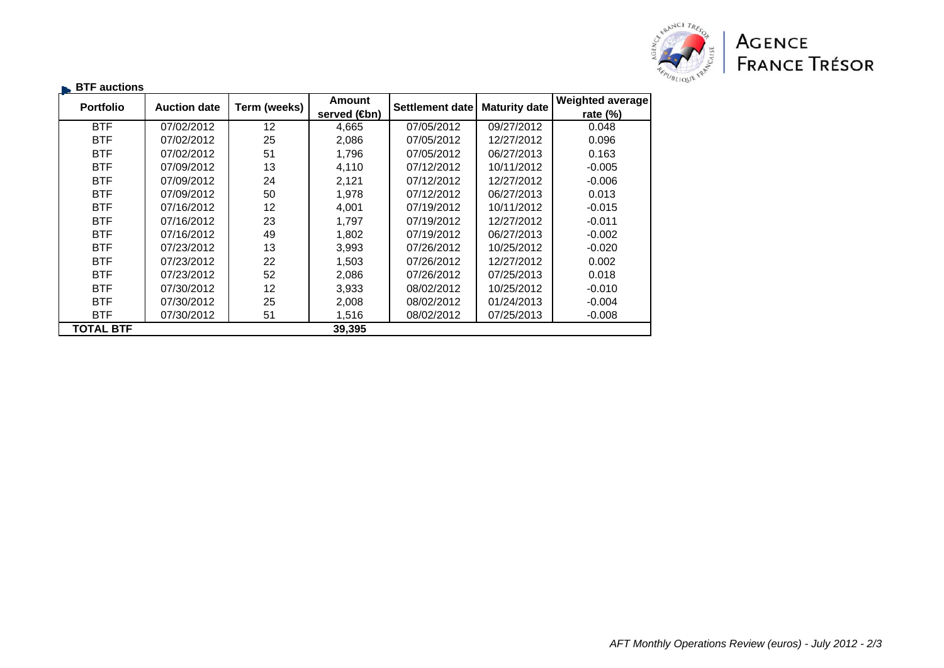

| $\blacksquare$ BTF auctions |                     |              |                                            |                 |                      |                                        |
|-----------------------------|---------------------|--------------|--------------------------------------------|-----------------|----------------------|----------------------------------------|
| <b>Portfolio</b>            | <b>Auction date</b> | Term (weeks) | <b>Amount</b><br>served ( <del>C</del> bn) | Settlement date | <b>Maturity date</b> | <b>Weighted average</b><br>rate $(\%)$ |
|                             |                     |              |                                            |                 |                      |                                        |
| <b>BTF</b>                  | 07/02/2012          | 12           | 4,665                                      | 07/05/2012      | 09/27/2012           | 0.048                                  |
| <b>BTF</b>                  | 07/02/2012          | 25           | 2,086                                      | 07/05/2012      | 12/27/2012           | 0.096                                  |
| <b>BTF</b>                  | 07/02/2012          | 51           | 1,796                                      | 07/05/2012      | 06/27/2013           | 0.163                                  |
| <b>BTF</b>                  | 07/09/2012          | 13           | 4,110                                      | 07/12/2012      | 10/11/2012           | $-0.005$                               |
| <b>BTF</b>                  | 07/09/2012          | 24           | 2,121                                      | 07/12/2012      | 12/27/2012           | $-0.006$                               |
| <b>BTF</b>                  | 07/09/2012          | 50           | 1,978                                      | 07/12/2012      | 06/27/2013           | 0.013                                  |
| <b>BTF</b>                  | 07/16/2012          | 12           | 4,001                                      | 07/19/2012      | 10/11/2012           | $-0.015$                               |
| <b>BTF</b>                  | 07/16/2012          | 23           | 1.797                                      | 07/19/2012      | 12/27/2012           | $-0.011$                               |
| <b>BTF</b>                  | 07/16/2012          | 49           | 1,802                                      | 07/19/2012      | 06/27/2013           | $-0.002$                               |
| <b>BTF</b>                  | 07/23/2012          | 13           | 3,993                                      | 07/26/2012      | 10/25/2012           | $-0.020$                               |
| <b>BTF</b>                  | 07/23/2012          | 22           | 1,503                                      | 07/26/2012      | 12/27/2012           | 0.002                                  |
| <b>BTF</b>                  | 07/23/2012          | 52           | 2,086                                      | 07/26/2012      | 07/25/2013           | 0.018                                  |
| <b>BTF</b>                  | 07/30/2012          | 12           | 3,933                                      | 08/02/2012      | 10/25/2012           | $-0.010$                               |
| <b>BTF</b>                  | 07/30/2012          | 25           | 2,008                                      | 08/02/2012      | 01/24/2013           | $-0.004$                               |
| <b>BTF</b>                  | 07/30/2012          | 51           | 1,516                                      | 08/02/2012      | 07/25/2013           | $-0.008$                               |
| <b>TOTAL BTF</b>            |                     |              | 39,395                                     |                 |                      |                                        |